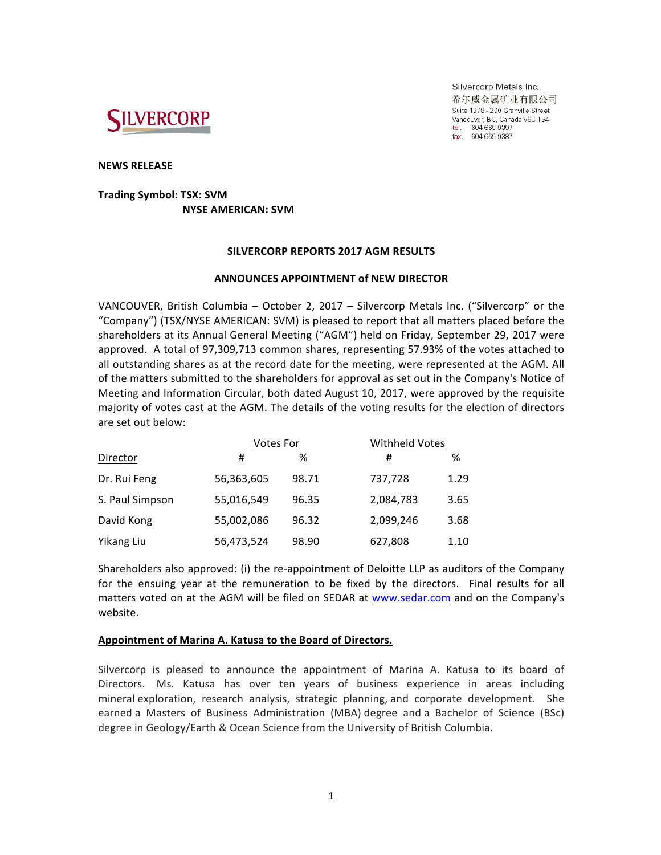

Silvercorp Metals Inc. 希尔威金属矿业有限公司 Suite 1378 - 200 Granville Street Vancouver, BC, Canada V6C 1S4 tel. 604 669 9397 fax. 604 669 9387

### **NEWS RELEASE**

# **Trading Symbol: TSX: SVM NYSE AMERICAN: SVM**

### **SILVERCORP REPORTS 2017 AGM RESULTS**

## **ANNOUNCES APPOINTMENT of NEW DIRECTOR**

VANCOUVER, British Columbia – October 2, 2017 – Silvercorp Metals Inc. ("Silvercorp" or the "Company") (TSX/NYSE AMERICAN: SVM) is pleased to report that all matters placed before the shareholders at its Annual General Meeting ("AGM") held on Friday, September 29, 2017 were approved. A total of 97,309,713 common shares, representing 57.93% of the votes attached to all outstanding shares as at the record date for the meeting, were represented at the AGM. All of the matters submitted to the shareholders for approval as set out in the Company's Notice of Meeting and Information Circular, both dated August 10, 2017, were approved by the requisite majority of votes cast at the AGM. The details of the voting results for the election of directors are set out below:

| Director        | <b>Votes For</b> |       | Withheld Votes |      |
|-----------------|------------------|-------|----------------|------|
|                 | #                | ℅     | #              | %    |
| Dr. Rui Feng    | 56,363,605       | 98.71 | 737,728        | 1.29 |
| S. Paul Simpson | 55,016,549       | 96.35 | 2,084,783      | 3.65 |
| David Kong      | 55,002,086       | 96.32 | 2,099,246      | 3.68 |
| Yikang Liu      | 56,473,524       | 98.90 | 627,808        | 1.10 |

Shareholders also approved: (i) the re-appointment of Deloitte LLP as auditors of the Company for the ensuing year at the remuneration to be fixed by the directors. Final results for all matters voted on at the AGM will be filed on SEDAR at [www.sedar.com](http://www.sedar.com) and on the Company's website.

## **Appointment of Marina A. Katusa to the Board of Directors.**

Silvercorp is pleased to announce the appointment of Marina A. Katusa to its board of Directors. Ms. Katusa has over ten years of business experience in areas including mineral exploration, research analysis, strategic planning, and corporate development. She earned a Masters of Business Administration (MBA) degree and a Bachelor of Science (BSc) degree in Geology/Earth & Ocean Science from the University of British Columbia.